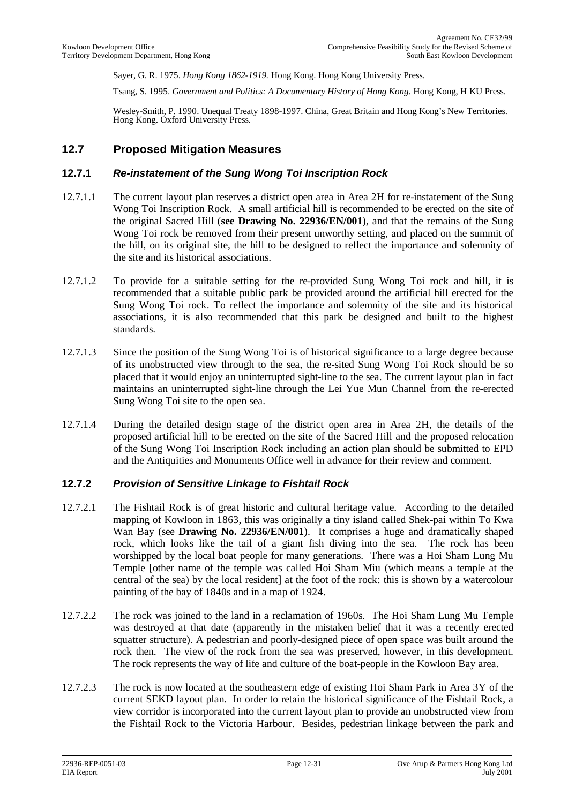Sayer, G. R. 1975. *Hong Kong 1862-1919.* Hong Kong. Hong Kong University Press.

Tsang, S. 1995. *Government and Politics: A Documentary History of Hong Kong.* Hong Kong, H KU Press.

Wesley-Smith, P. 1990. Unequal Treaty 1898-1997. China, Great Britain and Hong Kong's New Territories. Hong Kong. Oxford University Press.

## **12.7 Proposed Mitigation Measures**

#### **12.7.1** *Re-instatement of the Sung Wong Toi Inscription Rock*

- 12.7.1.1 The current layout plan reserves a district open area in Area 2H for re-instatement of the Sung Wong Toi Inscription Rock. A small artificial hill is recommended to be erected on the site of the original Sacred Hill (**see Drawing No. 22936/EN/001**), and that the remains of the Sung Wong Toi rock be removed from their present unworthy setting, and placed on the summit of the hill, on its original site, the hill to be designed to reflect the importance and solemnity of the site and its historical associations.
- 12.7.1.2 To provide for a suitable setting for the re-provided Sung Wong Toi rock and hill, it is recommended that a suitable public park be provided around the artificial hill erected for the Sung Wong Toi rock. To reflect the importance and solemnity of the site and its historical associations, it is also recommended that this park be designed and built to the highest standards.
- 12.7.1.3 Since the position of the Sung Wong Toi is of historical significance to a large degree because of its unobstructed view through to the sea, the re-sited Sung Wong Toi Rock should be so placed that it would enjoy an uninterrupted sight-line to the sea. The current layout plan in fact maintains an uninterrupted sight-line through the Lei Yue Mun Channel from the re-erected Sung Wong Toi site to the open sea.
- 12.7.1.4 During the detailed design stage of the district open area in Area 2H, the details of the proposed artificial hill to be erected on the site of the Sacred Hill and the proposed relocation of the Sung Wong Toi Inscription Rock including an action plan should be submitted to EPD and the Antiquities and Monuments Office well in advance for their review and comment.

## **12.7.2** *Provision of Sensitive Linkage to Fishtail Rock*

- 12.7.2.1 The Fishtail Rock is of great historic and cultural heritage value. According to the detailed mapping of Kowloon in 1863, this was originally a tiny island called Shek-pai within To Kwa Wan Bay (see **Drawing No. 22936/EN/001**). It comprises a huge and dramatically shaped rock, which looks like the tail of a giant fish diving into the sea. The rock has been worshipped by the local boat people for many generations. There was a Hoi Sham Lung Mu Temple [other name of the temple was called Hoi Sham Miu (which means a temple at the central of the sea) by the local resident] at the foot of the rock: this is shown by a watercolour painting of the bay of 1840s and in a map of 1924.
- 12.7.2.2 The rock was joined to the land in a reclamation of 1960s. The Hoi Sham Lung Mu Temple was destroyed at that date (apparently in the mistaken belief that it was a recently erected squatter structure). A pedestrian and poorly-designed piece of open space was built around the rock then. The view of the rock from the sea was preserved, however, in this development. The rock represents the way of life and culture of the boat-people in the Kowloon Bay area.
- 12.7.2.3 The rock is now located at the southeastern edge of existing Hoi Sham Park in Area 3Y of the current SEKD layout plan. In order to retain the historical significance of the Fishtail Rock, a view corridor is incorporated into the current layout plan to provide an unobstructed view from the Fishtail Rock to the Victoria Harbour. Besides, pedestrian linkage between the park and